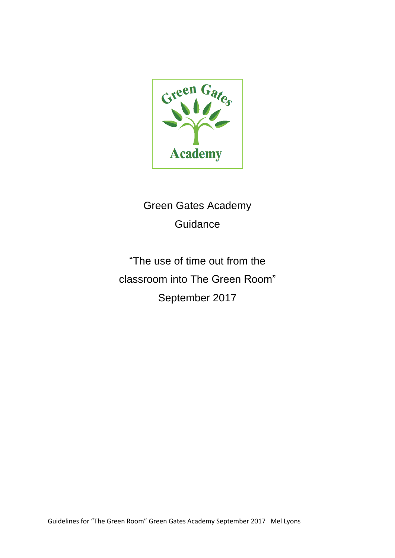

Green Gates Academy Guidance

"The use of time out from the classroom into The Green Room" September 2017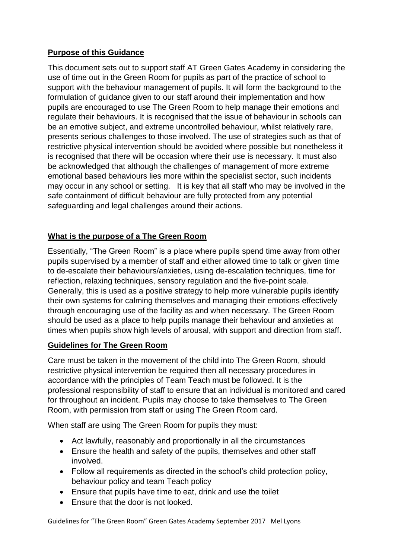# **Purpose of this Guidance**

This document sets out to support staff AT Green Gates Academy in considering the use of time out in the Green Room for pupils as part of the practice of school to support with the behaviour management of pupils. It will form the background to the formulation of guidance given to our staff around their implementation and how pupils are encouraged to use The Green Room to help manage their emotions and regulate their behaviours. It is recognised that the issue of behaviour in schools can be an emotive subject, and extreme uncontrolled behaviour, whilst relatively rare, presents serious challenges to those involved. The use of strategies such as that of restrictive physical intervention should be avoided where possible but nonetheless it is recognised that there will be occasion where their use is necessary. It must also be acknowledged that although the challenges of management of more extreme emotional based behaviours lies more within the specialist sector, such incidents may occur in any school or setting. It is key that all staff who may be involved in the safe containment of difficult behaviour are fully protected from any potential safeguarding and legal challenges around their actions.

## **What is the purpose of a The Green Room**

Essentially, "The Green Room" is a place where pupils spend time away from other pupils supervised by a member of staff and either allowed time to talk or given time to de-escalate their behaviours/anxieties, using de-escalation techniques, time for reflection, relaxing techniques, sensory regulation and the five-point scale. Generally, this is used as a positive strategy to help more vulnerable pupils identify their own systems for calming themselves and managing their emotions effectively through encouraging use of the facility as and when necessary. The Green Room should be used as a place to help pupils manage their behaviour and anxieties at times when pupils show high levels of arousal, with support and direction from staff.

### **Guidelines for The Green Room**

Care must be taken in the movement of the child into The Green Room, should restrictive physical intervention be required then all necessary procedures in accordance with the principles of Team Teach must be followed. It is the professional responsibility of staff to ensure that an individual is monitored and cared for throughout an incident. Pupils may choose to take themselves to The Green Room, with permission from staff or using The Green Room card.

When staff are using The Green Room for pupils they must:

- Act lawfully, reasonably and proportionally in all the circumstances
- Ensure the health and safety of the pupils, themselves and other staff involved.
- Follow all requirements as directed in the school's child protection policy, behaviour policy and team Teach policy
- Ensure that pupils have time to eat, drink and use the toilet
- Ensure that the door is not looked.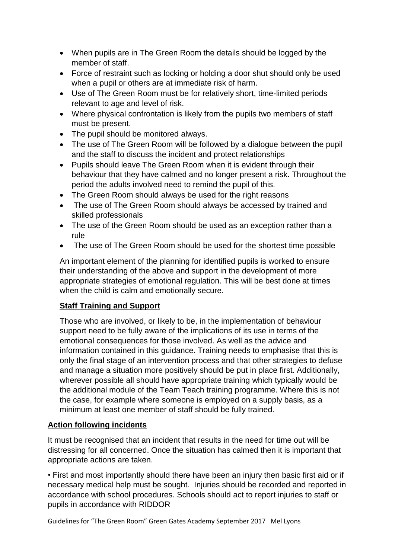- When pupils are in The Green Room the details should be logged by the member of staff.
- Force of restraint such as locking or holding a door shut should only be used when a pupil or others are at immediate risk of harm.
- Use of The Green Room must be for relatively short, time-limited periods relevant to age and level of risk.
- Where physical confrontation is likely from the pupils two members of staff must be present.
- The pupil should be monitored always.
- The use of The Green Room will be followed by a dialogue between the pupil and the staff to discuss the incident and protect relationships
- Pupils should leave The Green Room when it is evident through their behaviour that they have calmed and no longer present a risk. Throughout the period the adults involved need to remind the pupil of this.
- The Green Room should always be used for the right reasons
- The use of The Green Room should always be accessed by trained and skilled professionals
- The use of the Green Room should be used as an exception rather than a rule
- The use of The Green Room should be used for the shortest time possible

An important element of the planning for identified pupils is worked to ensure their understanding of the above and support in the development of more appropriate strategies of emotional regulation. This will be best done at times when the child is calm and emotionally secure.

### **Staff Training and Support**

Those who are involved, or likely to be, in the implementation of behaviour support need to be fully aware of the implications of its use in terms of the emotional consequences for those involved. As well as the advice and information contained in this guidance. Training needs to emphasise that this is only the final stage of an intervention process and that other strategies to defuse and manage a situation more positively should be put in place first. Additionally, wherever possible all should have appropriate training which typically would be the additional module of the Team Teach training programme. Where this is not the case, for example where someone is employed on a supply basis, as a minimum at least one member of staff should be fully trained.

### **Action following incidents**

It must be recognised that an incident that results in the need for time out will be distressing for all concerned. Once the situation has calmed then it is important that appropriate actions are taken.

• First and most importantly should there have been an injury then basic first aid or if necessary medical help must be sought. Injuries should be recorded and reported in accordance with school procedures. Schools should act to report injuries to staff or pupils in accordance with RIDDOR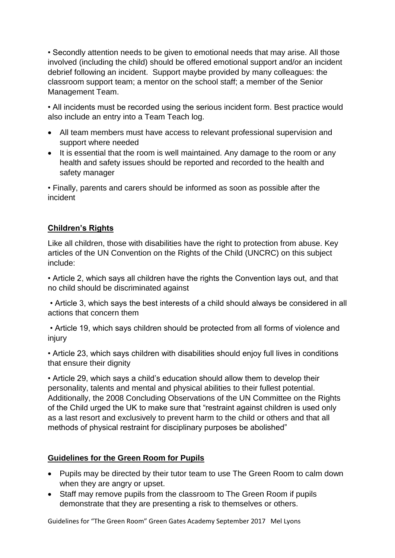• Secondly attention needs to be given to emotional needs that may arise. All those involved (including the child) should be offered emotional support and/or an incident debrief following an incident. Support maybe provided by many colleagues: the classroom support team; a mentor on the school staff; a member of the Senior Management Team.

• All incidents must be recorded using the serious incident form. Best practice would also include an entry into a Team Teach log.

- All team members must have access to relevant professional supervision and support where needed
- It is essential that the room is well maintained. Any damage to the room or any health and safety issues should be reported and recorded to the health and safety manager

• Finally, parents and carers should be informed as soon as possible after the incident

## **Children's Rights**

Like all children, those with disabilities have the right to protection from abuse. Key articles of the UN Convention on the Rights of the Child (UNCRC) on this subject include:

• Article 2, which says all children have the rights the Convention lays out, and that no child should be discriminated against

• Article 3, which says the best interests of a child should always be considered in all actions that concern them

• Article 19, which says children should be protected from all forms of violence and injury

• Article 23, which says children with disabilities should enjoy full lives in conditions that ensure their dignity

• Article 29, which says a child's education should allow them to develop their personality, talents and mental and physical abilities to their fullest potential. Additionally, the 2008 Concluding Observations of the UN Committee on the Rights of the Child urged the UK to make sure that "restraint against children is used only as a last resort and exclusively to prevent harm to the child or others and that all methods of physical restraint for disciplinary purposes be abolished"

### **Guidelines for the Green Room for Pupils**

- Pupils may be directed by their tutor team to use The Green Room to calm down when they are angry or upset.
- Staff may remove pupils from the classroom to The Green Room if pupils demonstrate that they are presenting a risk to themselves or others.

Guidelines for "The Green Room" Green Gates Academy September 2017 Mel Lyons